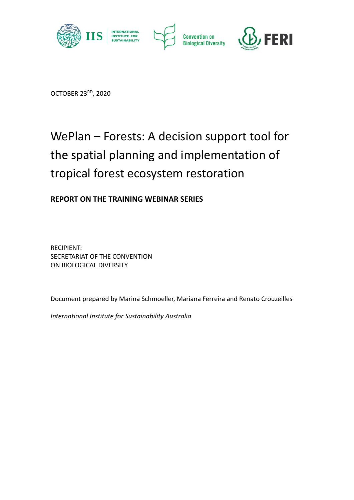

OCTOBER 23RD, 2020

# WePlan – Forests: A decision support tool for the spatial planning and implementation of tropical forest ecosystem restoration

**REPORT ON THE TRAINING WEBINAR SERIES**

RECIPIENT: SECRETARIAT OF THE CONVENTION ON BIOLOGICAL DIVERSITY

Document prepared by Marina Schmoeller, Mariana Ferreira and Renato Crouzeilles

*International Institute for Sustainability Australia*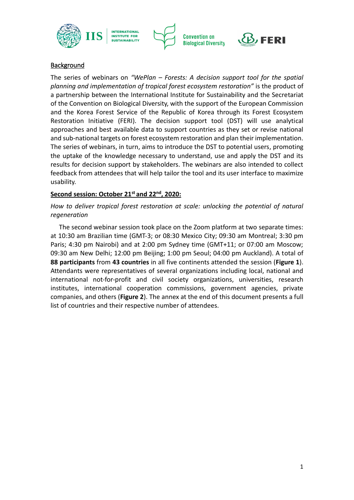







# **Background**

The series of webinars on *"WePlan – Forests: A decision support tool for the spatial planning and implementation of tropical forest ecosystem restoration"* is the product of a partnership between the International Institute for Sustainability and the Secretariat of the Convention on Biological Diversity, with the support of the European Commission and the Korea Forest Service of the Republic of Korea through its Forest Ecosystem Restoration Initiative (FERI). The decision support tool (DST) will use analytical approaches and best available data to support countries as they set or revise national and sub-national targets on forest ecosystem restoration and plan their implementation. The series of webinars, in turn, aims to introduce the DST to potential users, promoting the uptake of the knowledge necessary to understand, use and apply the DST and its results for decision support by stakeholders. The webinars are also intended to collect feedback from attendees that will help tailor the tool and its user interface to maximize usability.

#### **Second session: October 21st and 22nd, 2020:**

*How to deliver tropical forest restoration at scale: unlocking the potential of natural regeneration*

The second webinar session took place on the Zoom platform at two separate times: at 10:30 am Brazilian time (GMT-3; or 08:30 Mexico City; 09:30 am Montreal; 3:30 pm Paris; 4:30 pm Nairobi) and at 2:00 pm Sydney time (GMT+11; or 07:00 am Moscow; 09:30 am New Delhi; 12:00 pm Beijing; 1:00 pm Seoul; 04:00 pm Auckland). A total of **88 participants** from **43 countries** in all five continents attended the session (**Figure 1**). Attendants were representatives of several organizations including local, national and international not-for-profit and civil society organizations, universities, research institutes, international cooperation commissions, government agencies, private companies, and others (**Figure 2**). The annex at the end of this document presents a full list of countries and their respective number of attendees.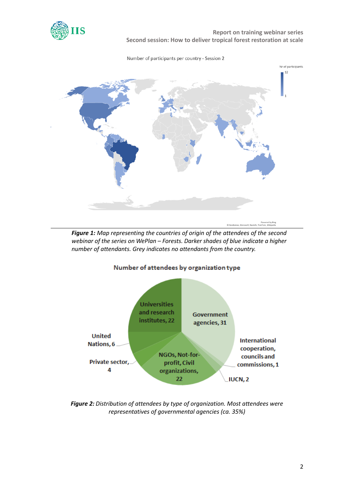

 **Report on training webinar series Second session: How to deliver tropical forest restoration at scale**





*Figure 1: Map representing the countries of origin of the attendees of the second webinar of the series on WePlan – Forests. Darker shades of blue indicate a higher number of attendants. Grey indicates no attendants from the country.*



*Figure 2: Distribution of attendees by type of organization. Most attendees were representatives of governmental agencies (ca. 35%)*

#### Number of attendees by organization type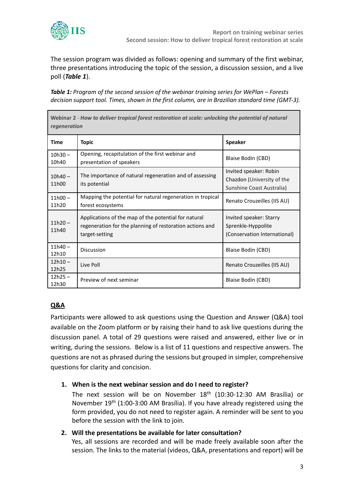

The session program was divided as follows: opening and summary of the first webinar, three presentations introducing the topic of the session, a discussion session, and a live poll (*Table 1*).

*Table 1: Program of the second session of the webinar training series for WePlan – Forests decision support tool. Times, shown in the first column, are in Brazilian standard time (GMT-3).*

| Webinar 2 - How to deliver tropical forest restoration at scale: unlocking the potential of natural<br>regeneration |                                                                                                                                    |                                                                                   |  |  |
|---------------------------------------------------------------------------------------------------------------------|------------------------------------------------------------------------------------------------------------------------------------|-----------------------------------------------------------------------------------|--|--|
| <b>Time</b>                                                                                                         | <b>Topic</b>                                                                                                                       | <b>Speaker</b>                                                                    |  |  |
| $10h30 -$<br>10h40                                                                                                  | Opening, recapitulation of the first webinar and<br>presentation of speakers                                                       | Blaise Bodin (CBD)                                                                |  |  |
| $10h40 -$<br>11h00                                                                                                  | The importance of natural regeneration and of assessing<br>its potential                                                           | Invited speaker: Robin<br>Chazdon (University of the<br>Sunshine Coast Australia) |  |  |
| $11h00 -$<br>11h20                                                                                                  | Mapping the potential for natural regeneration in tropical<br>forest ecosystems                                                    | Renato Crouzeilles (IIS AU)                                                       |  |  |
| $11h20 -$<br>11h40                                                                                                  | Applications of the map of the potential for natural<br>regeneration for the planning of restoration actions and<br>target-setting | Invited speaker: Starry<br>Sprenkle-Hyppolite<br>(Conservation International)     |  |  |
| $11h40 -$<br>12h10                                                                                                  | Discussion                                                                                                                         | Blaise Bodin (CBD)                                                                |  |  |
| $12h10 -$<br>12h25                                                                                                  | Live Poll                                                                                                                          | Renato Crouzeilles (IIS AU)                                                       |  |  |
| $12h25 -$<br>12h30                                                                                                  | Preview of next seminar                                                                                                            | Blaise Bodin (CBD)                                                                |  |  |

# **Q&A**

Participants were allowed to ask questions using the Question and Answer (Q&A) tool available on the Zoom platform or by raising their hand to ask live questions during the discussion panel. A total of 29 questions were raised and answered, either live or in writing, during the sessions. Below is a list of 11 questions and respective answers. The questions are not as phrased during the sessions but grouped in simpler, comprehensive questions for clarity and concision.

## **1. When is the next webinar session and do I need to register?**

The next session will be on November 18<sup>th</sup> (10:30-12:30 AM Brasília) or November 19th (1:00-3:00 AM Brasília). If you have already registered using the form provided, you do not need to register again. A reminder will be sent to you before the session with the link to join.

## **2. Will the presentations be available for later consultation?**

Yes, all sessions are recorded and will be made freely available soon after the session. The links to the material (videos, Q&A, presentations and report) will be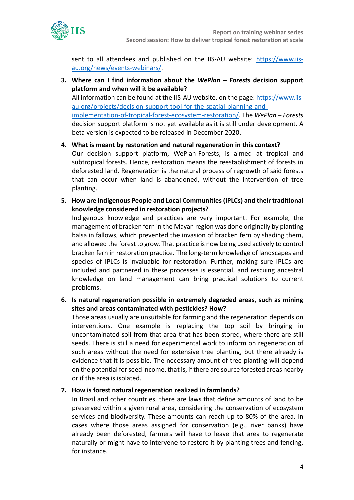

sent to all attendees and published on the IIS-AU website: https://www.iisau.org/news/events-webinars/.

- **3. Where can I find information about the** *WePlan – Forests* **decision support platform and when will it be available?** All information can be found at the IIS-AU website, on the page: https://www.iisau.org/projects/decision-support-tool-for-the-spatial-planning-andimplementation-of-tropical-forest-ecosystem-restoration/. The *WePlan – Forests* decision support platform is not yet available as it is still under development. A beta version is expected to be released in December 2020.
- **4. What is meant by restoration and natural regeneration in this context?** Our decision support platform, WePlan-Forests, is aimed at tropical and subtropical forests. Hence, restoration means the reestablishment of forests in deforested land. Regeneration is the natural process of regrowth of said forests that can occur when land is abandoned, without the intervention of tree planting.
- **5. How are Indigenous People and Local Communities (IPLCs) and their traditional knowledge considered in restoration projects?**

Indigenous knowledge and practices are very important. For example, the management of bracken fern in the Mayan region was done originally by planting balsa in fallows, which prevented the invasion of bracken fern by shading them, and allowed the forest to grow. That practice is now being used actively to control bracken fern in restoration practice. The long-term knowledge of landscapes and species of IPLCs is invaluable for restoration. Further, making sure IPLCs are included and partnered in these processes is essential, and rescuing ancestral knowledge on land management can bring practical solutions to current problems.

**6. Is natural regeneration possible in extremely degraded areas, such as mining sites and areas contaminated with pesticides? How?**

Those areas usually are unsuitable for farming and the regeneration depends on interventions. One example is replacing the top soil by bringing in uncontaminated soil from that area that has been stored, where there are still seeds. There is still a need for experimental work to inform on regeneration of such areas without the need for extensive tree planting, but there already is evidence that it is possible. The necessary amount of tree planting will depend on the potential for seed income, that is, if there are source forested areas nearby or if the area is isolated.

## **7. How is forest natural regeneration realized in farmlands?**

In Brazil and other countries, there are laws that define amounts of land to be preserved within a given rural area, considering the conservation of ecosystem services and biodiversity. These amounts can reach up to 80% of the area. In cases where those areas assigned for conservation (e.g., river banks) have already been deforested, farmers will have to leave that area to regenerate naturally or might have to intervene to restore it by planting trees and fencing, for instance.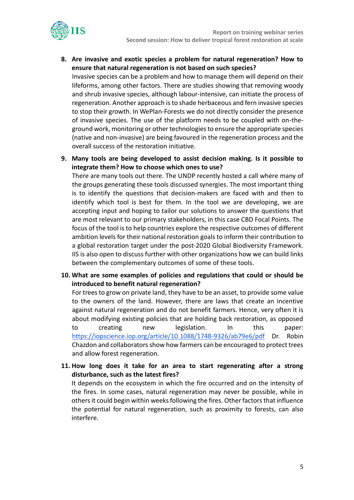

**8. Are invasive and exotic species a problem for natural regeneration? How to ensure that natural regeneration is not based on such species?**

Invasive species can be a problem and how to manage them will depend on their lifeforms, among other factors. There are studies showing that removing woody and shrub invasive species, although labour-intensive, can initiate the process of regeneration. Another approach is to shade herbaceous and fern invasive species to stop their growth. In WePlan-Forests we do not directly consider the presence of invasive species. The use of the platform needs to be coupled with on-theground work, monitoring or other technologies to ensure the appropriate species (native and non-invasive) are being favoured in the regeneration process and the overall success of the restoration initiative.

**9. Many tools are being developed to assist decision making. Is it possible to integrate them? How to choose which ones to use?**

There are many tools out there. The UNDP recently hosted a call where many of the groups generating these tools discussed synergies. The most important thing is to identify the questions that decision-makers are faced with and then to identify which tool is best for them. In the tool we are developing, we are accepting input and hoping to tailor our solutions to answer the questions that are most relevant to our primary stakeholders, in this case CBD Focal Points. The focus of the tool is to help countries explore the respective outcomes of different ambition levels for their national restoration goals to inform their contribution to a global restoration target under the post-2020 Global Biodiversity Framework. IIS is also open to discuss further with other organizations how we can build links between the complementary outcomes of some of these tools.

**10. What are some examples of policies and regulations that could or should be introduced to benefit natural regeneration?**

For trees to grow on private land, they have to be an asset, to provide some value to the owners of the land. However, there are laws that create an incentive against natural regeneration and do not benefit farmers. Hence, very often it is about modifying existing policies that are holding back restoration, as opposed to creating new legislation. In this paper: <https://iopscience.iop.org/article/10.1088/1748-9326/ab79e6/pdf> Dr. Robin Chazdon and collaborators show how farmers can be encouraged to protect trees and allow forest regeneration.

**11. How long does it take for an area to start regenerating after a strong disturbance, such as the latest fires?**

It depends on the ecosystem in which the fire occurred and on the intensity of the fires. In some cases, natural regeneration may never be possible, while in others it could begin within weeks following the fires. Other factors that influence the potential for natural regeneration, such as proximity to forests, can also interfere.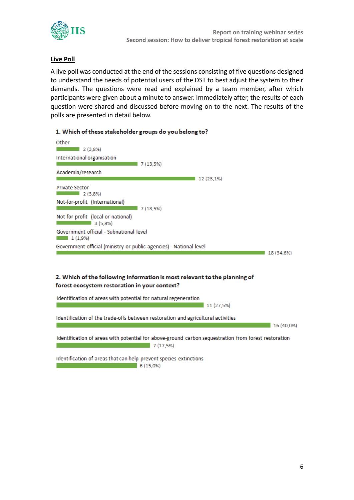

# **Live Poll**

A live poll was conducted at the end of the sessions consisting of five questions designed to understand the needs of potential users of the DST to best adjust the system to their demands. The questions were read and explained by a team member, after which participants were given about a minute to answer. Immediately after, the results of each question were shared and discussed before moving on to the next. The results of the polls are presented in detail below.

| 1. Which of these stakeholder groups do you belong to?             |                                                                                                                  |            |  |  |  |
|--------------------------------------------------------------------|------------------------------------------------------------------------------------------------------------------|------------|--|--|--|
| Other<br>2(3,8%)<br>International organisation                     |                                                                                                                  |            |  |  |  |
|                                                                    | 7(13,5%)                                                                                                         |            |  |  |  |
| Academia/research                                                  | 12 (23,1%)                                                                                                       |            |  |  |  |
| <b>Private Sector</b><br>2 (3.8%)                                  |                                                                                                                  |            |  |  |  |
| Not-for-profit (International)                                     | 7 (13,5%)                                                                                                        |            |  |  |  |
| Not-for-profit (local or national)<br>3(5,8%)                      |                                                                                                                  |            |  |  |  |
| Government official - Subnational level<br>1(1,9%)                 |                                                                                                                  |            |  |  |  |
| Government official (ministry or public agencies) - National level |                                                                                                                  |            |  |  |  |
|                                                                    |                                                                                                                  | 18 (34.6%) |  |  |  |
| forest ecosystem restoration in your context?                      | 2. Which of the following information is most relevant to the planning of                                        |            |  |  |  |
| Identification of areas with potential for natural regeneration    | 11 (27,5%)                                                                                                       |            |  |  |  |
|                                                                    | Identification of the trade-offs between restoration and agricultural activities                                 | 16 (40,0%) |  |  |  |
|                                                                    | Identification of areas with potential for above-ground carbon sequestration from forest restoration<br>7(17,5%) |            |  |  |  |
| Identification of areas that can help prevent species extinctions  |                                                                                                                  |            |  |  |  |

 $6(15,0%)$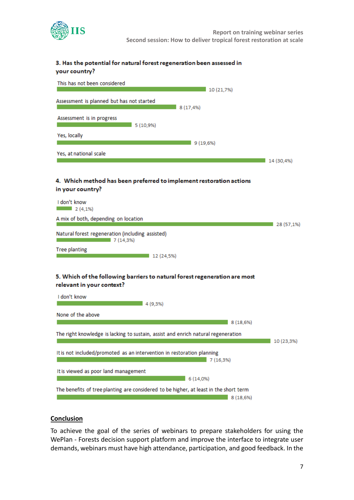

#### 3. Has the potential for natural forest regeneration been assessed in your country?



#### **Conclusion**

To achieve the goal of the series of webinars to prepare stakeholders for using the WePlan - Forests decision support platform and improve the interface to integrate user demands, webinars must have high attendance, participation, and good feedback. In the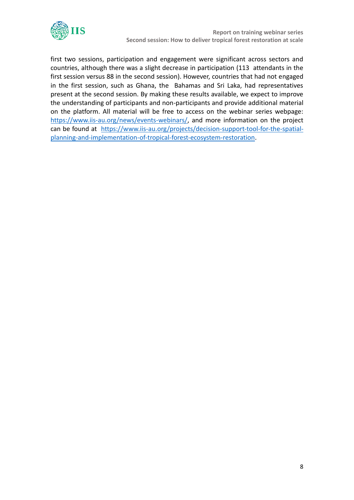

first two sessions, participation and engagement were significant across sectors and countries, although there was a slight decrease in participation (113 attendants in the first session versus 88 in the second session). However, countries that had not engaged in the first session, such as Ghana, the Bahamas and Sri Laka, had representatives present at the second session. By making these results available, we expect to improve the understanding of participants and non-participants and provide additional material on the platform. All material will be free to access on the webinar series webpage: [https://www.iis-au.org/news/events-webinars/,](https://www.iis-au.org/news/events-webinars/) and more information on the project can be found at https://www.iis-au.org/projects/decision-support-tool-for-the-spatialplanning-and-implementation-of-tropical-forest-ecosystem-restoration.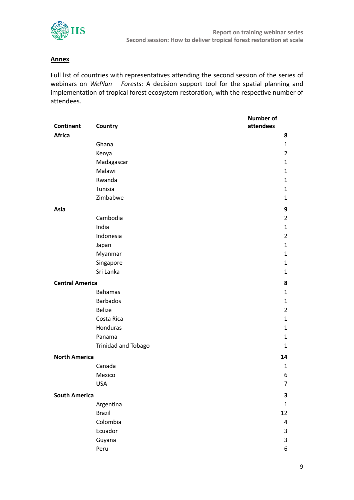

## **Annex**

Full list of countries with representatives attending the second session of the series of webinars on *WePlan – Forests:* A decision support tool for the spatial planning and implementation of tropical forest ecosystem restoration, with the respective number of attendees.

|                        |                     | <b>Number of</b> |
|------------------------|---------------------|------------------|
| <b>Continent</b>       | Country             | attendees        |
| <b>Africa</b>          |                     | 8                |
|                        | Ghana               | $\mathbf{1}$     |
|                        | Kenya               | $\overline{2}$   |
|                        | Madagascar          | 1                |
|                        | Malawi              | 1                |
|                        | Rwanda              | 1                |
|                        | Tunisia             | 1                |
|                        | Zimbabwe            | 1                |
| Asia                   |                     | 9                |
|                        | Cambodia            | $\overline{2}$   |
|                        | India               | 1                |
|                        | Indonesia           | $\overline{2}$   |
|                        | Japan               | $\mathbf{1}$     |
|                        | Myanmar             | $\mathbf{1}$     |
|                        | Singapore           | 1                |
|                        | Sri Lanka           | $\mathbf{1}$     |
| <b>Central America</b> |                     | 8                |
|                        | <b>Bahamas</b>      | 1                |
|                        | <b>Barbados</b>     | 1                |
|                        | <b>Belize</b>       | $\overline{2}$   |
|                        | Costa Rica          | 1                |
|                        | Honduras            | 1                |
|                        | Panama              | $\mathbf{1}$     |
|                        | Trinidad and Tobago | $\mathbf{1}$     |
| <b>North America</b>   |                     | 14               |
|                        | Canada              | 1                |
|                        | Mexico              | 6                |
|                        | <b>USA</b>          | 7                |
| <b>South America</b>   |                     | 3                |
|                        | Argentina           | $\mathbf 1$      |
|                        | <b>Brazil</b>       | 12               |
|                        | Colombia            | 4                |
|                        | Ecuador             | 3                |
|                        | Guyana              | 3                |
|                        | Peru                | 6                |